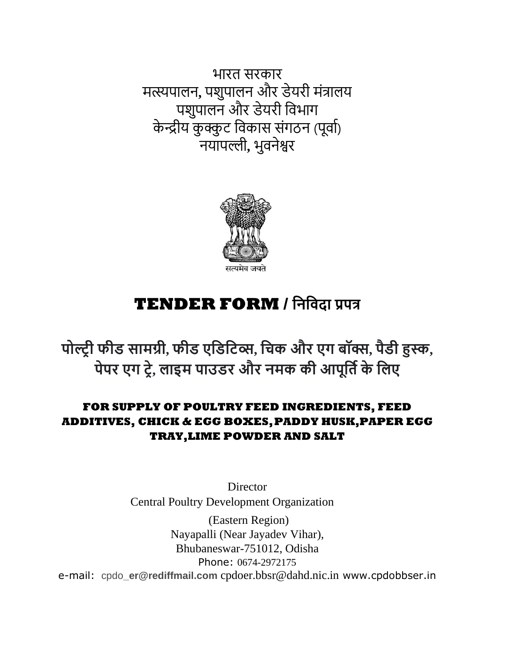भारत सरकार मत्स्यपालन**,** पशुपालन और डेयरी मंत्रालय पशुपालन और डेयरी विभाग केन्द्रीय कुक्कुट विकास संगठन (पूर्वा) नयापल्ली**,** भुिनेश्वर



# **TENDER FORM / निनिदा प्रपत्र**

**पोल्ट्र ी फीड सामग्री, फीड एनडनिव्स, निक और एग बॉक्स, पैडी हुस्क, पेपर एग िरे, लाइम पाउडर और िमक की आपूनति के नलए**

# **FOR SUPPLY OF POULTRY FEED INGREDIENTS, FEED ADDITIVES, CHICK & EGG BOXES,PADDY HUSK,PAPER EGG TRAY,LIME POWDER AND SALT**

**Director**  Central Poultry Development Organization (Eastern Region) Nayapalli (Near Jayadev Vihar), Bhubaneswar-751012, Odisha Phone: 0674-2972175 e-mail: cpdo**\_er@rediffmail.com** cpdoer.bbsr@dahd.nic.in www.cpdobbser.in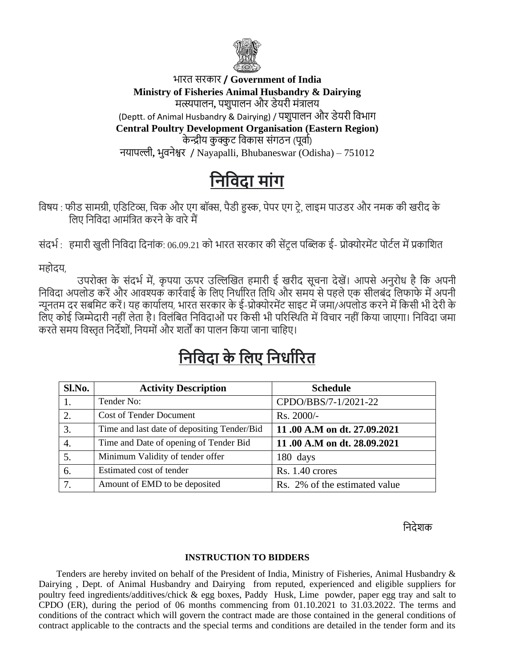

# भारत सरकार **/ Government of India Ministry of Fisheries Animal Husbandry & Dairying** मत्स्यपालन**,** पशुपालन और डेयरी मंत्रालय (Deptt. of Animal Husbandry & Dairying) / पशुपालन और डेयरी विभाग **Central Poultry Development Organisation (Eastern Region)** केन्द्रीय कुक्कुट विकास संगठन (पूर्वा) नयापल्ली**,** भुिनेश्वर / Nayapalli, Bhubaneswar (Odisha) – 751012

# **निनिदा माांग**

विषय : फीड सामग्री, एडिटिव्स, चिक और एग बॉक्स, पैडी हुस्क, पेपर एग ट्रे, लाइम पाउडर और नमक की खरीद के लिए निविदा आमंत्रित करने के वारे मैं

संदर्भ : हमारी खुली निविदा दिनांक: 06.09.21 को भारत सरकार की सेंटल पब्लिक ई- प्रोक्योरमेंट पोर्टल में प्रकाशित

महोदय,

उपरोक्त के संदर्भ में, कृपया ऊपर उल्लिखित हमारी ई खरीद सूचना देखें। आपसे अनुरोध है कि अपनी निविदा अपलोड करें और आवश्यक कार्रवाई के लिए निर्धारित तिथि और समय से पहले एक सीलबंद लिफाफे में अपनी न्यूनतम दर सबवमट करें। यह कायाालय, भारत सरकार के ई-प्रोक्योरमेंट साइट में जमा/अपलोड करने में वकसी भी देरी के विए कोई जिम्मेदारी नहीं लेता है। विलंबित निविदाओं पर किसी भी परिस्थिति में विचार नहीं किया जाएगा। निविदा जमा करते समय विस्तृत निर्देशों, नियमों और शर्तों का पालन किया जाना चाहिए।

# **निनिदा के नलए निर्ािररत**

| Sl.No.           | <b>Activity Description</b>                 | <b>Schedule</b>               |
|------------------|---------------------------------------------|-------------------------------|
|                  | Tender No:                                  | CPDO/BBS/7-1/2021-22          |
| 2.               | <b>Cost of Tender Document</b>              | Rs. 2000/-                    |
| 3.               | Time and last date of depositing Tender/Bid | 11.00 A.M on dt. 27.09.2021   |
| $\overline{4}$ . | Time and Date of opening of Tender Bid      | 11.00 A.M on dt. 28.09.2021   |
| 5.               | Minimum Validity of tender offer            | 180 days                      |
| 6.               | Estimated cost of tender                    | Rs. 1.40 crores               |
| 7.               | Amount of EMD to be deposited               | Rs. 2% of the estimated value |

वन्ति के बाद करने के बाद करने के बाद करने के बाद करने के बाद करने के बाद करने के लिये शक्य क

# **INSTRUCTION TO BIDDERS**

Tenders are hereby invited on behalf of the President of India, Ministry of Fisheries, Animal Husbandry & Dairying , Dept. of Animal Husbandry and Dairying from reputed, experienced and eligible suppliers for poultry feed ingredients/additives/chick & egg boxes, Paddy Husk, Lime powder, paper egg tray and salt to CPDO (ER), during the period of 06 months commencing from 01.10.2021 to 31.03.2022. The terms and conditions of the contract which will govern the contract made are those contained in the general conditions of contract applicable to the contracts and the special terms and conditions are detailed in the tender form and its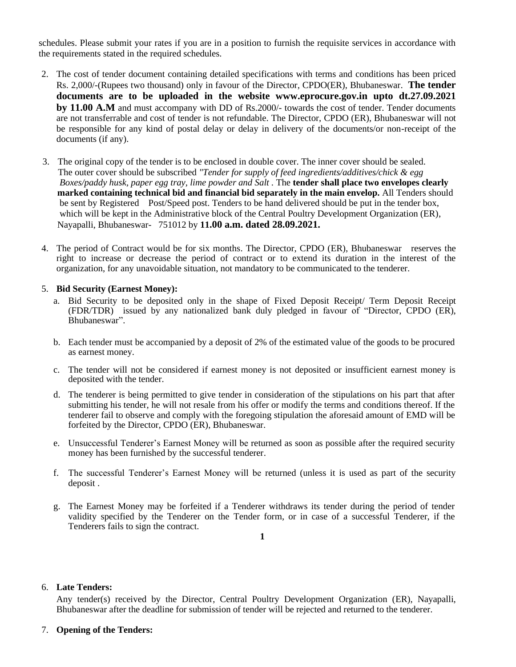schedules. Please submit your rates if you are in a position to furnish the requisite services in accordance with the requirements stated in the required schedules.

- 2. The cost of tender document containing detailed specifications with terms and conditions has been priced Rs. 2,000/-(Rupees two thousand) only in favour of the Director, CPDO(ER), Bhubaneswar. **The tender documents are to be uploaded in the website www.eprocure.gov.in upto dt.27.09.2021 by 11.00 A.M** and must accompany with DD of Rs.2000/- towards the cost of tender. Tender documents are not transferrable and cost of tender is not refundable. The Director, CPDO (ER), Bhubaneswar will not be responsible for any kind of postal delay or delay in delivery of the documents/or non-receipt of the documents (if any).
- 3. The original copy of the tender is to be enclosed in double cover. The inner cover should be sealed. The outer cover should be subscribed *"Tender for supply of feed ingredients/additives/chick & egg Boxes/paddy husk, paper egg tray, lime powder and Salt .* The **tender shall place two envelopes clearly marked containing technical bid and financial bid separately in the main envelop.** All Tenders should be sent by RegisteredPost/Speed post. Tenders to be hand delivered should be put in the tender box, which will be kept in the Administrative block of the Central Poultry Development Organization (ER), Nayapalli, Bhubaneswar- 751012 by **11.00 a.m. dated 28.09.2021.**
- 4. The period of Contract would be for six months. The Director, CPDO (ER), Bhubaneswar reserves the right to increase or decrease the period of contract or to extend its duration in the interest of the organization, for any unavoidable situation, not mandatory to be communicated to the tenderer.

# 5. **Bid Security (Earnest Money):**

- a. Bid Security to be deposited only in the shape of Fixed Deposit Receipt/ Term Deposit Receipt (FDR/TDR) issued by any nationalized bank duly pledged in favour of "Director, CPDO (ER), Bhubaneswar".
- b. Each tender must be accompanied by a deposit of 2% of the estimated value of the goods to be procured as earnest money.
- c. The tender will not be considered if earnest money is not deposited or insufficient earnest money is deposited with the tender.
- d. The tenderer is being permitted to give tender in consideration of the stipulations on his part that after submitting his tender, he will not resale from his offer or modify the terms and conditions thereof. If the tenderer fail to observe and comply with the foregoing stipulation the aforesaid amount of EMD will be forfeited by the Director, CPDO (ER), Bhubaneswar.
- e. Unsuccessful Tenderer's Earnest Money will be returned as soon as possible after the required security money has been furnished by the successful tenderer.
- f. The successful Tenderer's Earnest Money will be returned (unless it is used as part of the security deposit .
- g. The Earnest Money may be forfeited if a Tenderer withdraws its tender during the period of tender validity specified by the Tenderer on the Tender form, or in case of a successful Tenderer, if the Tenderers fails to sign the contract.

# **1**

#### 6. **Late Tenders:**

Any tender(s) received by the Director, Central Poultry Development Organization (ER), Nayapalli, Bhubaneswar after the deadline for submission of tender will be rejected and returned to the tenderer.

# 7. **Opening of the Tenders:**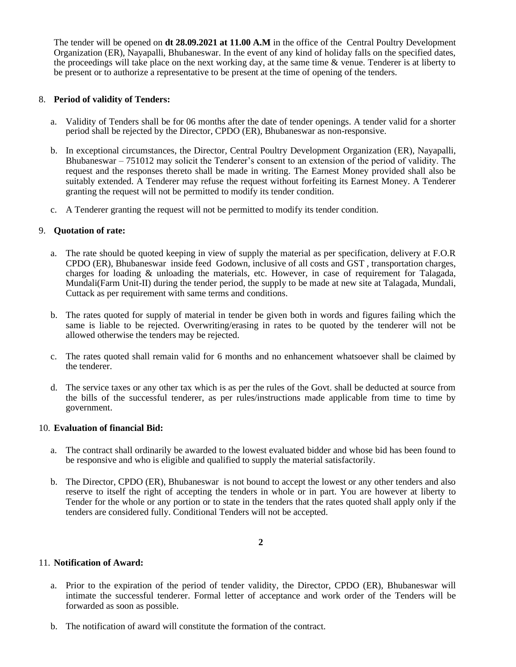The tender will be opened on **dt 28.09.2021 at 11.00 A.M** in the office of the Central Poultry Development Organization (ER), Nayapalli, Bhubaneswar. In the event of any kind of holiday falls on the specified dates, the proceedings will take place on the next working day, at the same time & venue. Tenderer is at liberty to be present or to authorize a representative to be present at the time of opening of the tenders.

# 8. **Period of validity of Tenders:**

- a. Validity of Tenders shall be for 06 months after the date of tender openings. A tender valid for a shorter period shall be rejected by the Director, CPDO (ER), Bhubaneswar as non-responsive.
- b. In exceptional circumstances, the Director, Central Poultry Development Organization (ER), Nayapalli, Bhubaneswar – 751012 may solicit the Tenderer's consent to an extension of the period of validity. The request and the responses thereto shall be made in writing. The Earnest Money provided shall also be suitably extended. A Tenderer may refuse the request without forfeiting its Earnest Money. A Tenderer granting the request will not be permitted to modify its tender condition.
- c. A Tenderer granting the request will not be permitted to modify its tender condition.

# 9. **Quotation of rate:**

- a. The rate should be quoted keeping in view of supply the material as per specification, delivery at F.O.R CPDO (ER), Bhubaneswar inside feed Godown, inclusive of all costs and GST , transportation charges, charges for loading & unloading the materials, etc. However, in case of requirement for Talagada, Mundali(Farm Unit-II) during the tender period, the supply to be made at new site at Talagada, Mundali, Cuttack as per requirement with same terms and conditions.
- b. The rates quoted for supply of material in tender be given both in words and figures failing which the same is liable to be rejected. Overwriting/erasing in rates to be quoted by the tenderer will not be allowed otherwise the tenders may be rejected.
- c. The rates quoted shall remain valid for 6 months and no enhancement whatsoever shall be claimed by the tenderer.
- d. The service taxes or any other tax which is as per the rules of the Govt. shall be deducted at source from the bills of the successful tenderer, as per rules/instructions made applicable from time to time by government.

# 10. **Evaluation of financial Bid:**

- a. The contract shall ordinarily be awarded to the lowest evaluated bidder and whose bid has been found to be responsive and who is eligible and qualified to supply the material satisfactorily.
- b. The Director, CPDO (ER), Bhubaneswar is not bound to accept the lowest or any other tenders and also reserve to itself the right of accepting the tenders in whole or in part. You are however at liberty to Tender for the whole or any portion or to state in the tenders that the rates quoted shall apply only if the tenders are considered fully. Conditional Tenders will not be accepted.

# 11. **Notification of Award:**

- a. Prior to the expiration of the period of tender validity, the Director, CPDO (ER), Bhubaneswar will intimate the successful tenderer. Formal letter of acceptance and work order of the Tenders will be forwarded as soon as possible.
- b. The notification of award will constitute the formation of the contract.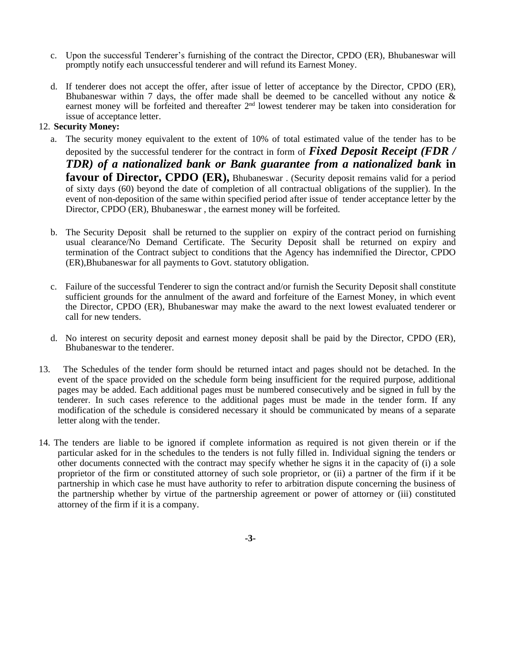- c. Upon the successful Tenderer's furnishing of the contract the Director, CPDO (ER), Bhubaneswar will promptly notify each unsuccessful tenderer and will refund its Earnest Money.
- d. If tenderer does not accept the offer, after issue of letter of acceptance by the Director, CPDO (ER), Bhubaneswar within 7 days, the offer made shall be deemed to be cancelled without any notice  $\&$ earnest money will be forfeited and thereafter 2<sup>nd</sup> lowest tenderer may be taken into consideration for issue of acceptance letter.

# 12. **Security Money:**

- a. The security money equivalent to the extent of 10% of total estimated value of the tender has to be deposited by the successful tenderer for the contract in form of *Fixed Deposit Receipt (FDR / TDR) of a nationalized bank or Bank guarantee from a nationalized bank* **in favour of Director, CPDO (ER),** Bhubaneswar . (Security deposit remains valid for a period of sixty days (60) beyond the date of completion of all contractual obligations of the supplier). In the event of non-deposition of the same within specified period after issue of tender acceptance letter by the Director, CPDO (ER), Bhubaneswar , the earnest money will be forfeited.
- b. The Security Deposit shall be returned to the supplier on expiry of the contract period on furnishing usual clearance/No Demand Certificate. The Security Deposit shall be returned on expiry and termination of the Contract subject to conditions that the Agency has indemnified the Director, CPDO (ER),Bhubaneswar for all payments to Govt. statutory obligation.
- c. Failure of the successful Tenderer to sign the contract and/or furnish the Security Deposit shall constitute sufficient grounds for the annulment of the award and forfeiture of the Earnest Money, in which event the Director, CPDO (ER), Bhubaneswar may make the award to the next lowest evaluated tenderer or call for new tenders.
- d. No interest on security deposit and earnest money deposit shall be paid by the Director, CPDO (ER), Bhubaneswar to the tenderer.
- 13. The Schedules of the tender form should be returned intact and pages should not be detached. In the event of the space provided on the schedule form being insufficient for the required purpose, additional pages may be added. Each additional pages must be numbered consecutively and be signed in full by the tenderer. In such cases reference to the additional pages must be made in the tender form. If any modification of the schedule is considered necessary it should be communicated by means of a separate letter along with the tender.
- 14. The tenders are liable to be ignored if complete information as required is not given therein or if the particular asked for in the schedules to the tenders is not fully filled in. Individual signing the tenders or other documents connected with the contract may specify whether he signs it in the capacity of (i) a sole proprietor of the firm or constituted attorney of such sole proprietor, or (ii) a partner of the firm if it be partnership in which case he must have authority to refer to arbitration dispute concerning the business of the partnership whether by virtue of the partnership agreement or power of attorney or (iii) constituted attorney of the firm if it is a company.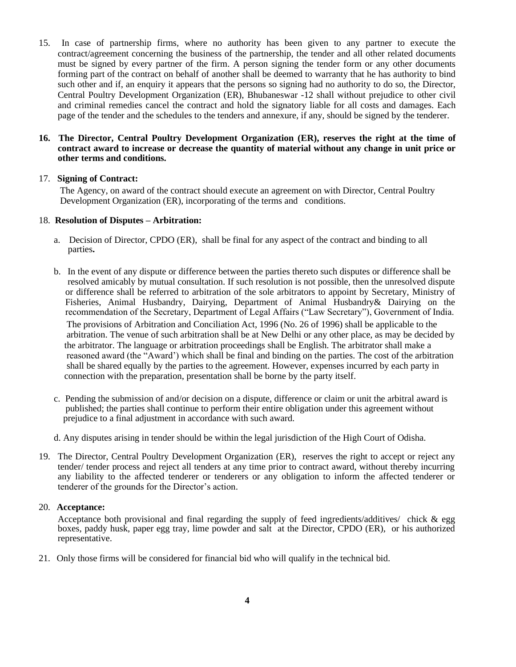15. In case of partnership firms, where no authority has been given to any partner to execute the contract/agreement concerning the business of the partnership, the tender and all other related documents must be signed by every partner of the firm. A person signing the tender form or any other documents forming part of the contract on behalf of another shall be deemed to warranty that he has authority to bind such other and if, an enquiry it appears that the persons so signing had no authority to do so, the Director, Central Poultry Development Organization (ER), Bhubaneswar -12 shall without prejudice to other civil and criminal remedies cancel the contract and hold the signatory liable for all costs and damages. Each page of the tender and the schedules to the tenders and annexure, if any, should be signed by the tenderer.

# **16. The Director, Central Poultry Development Organization (ER), reserves the right at the time of contract award to increase or decrease the quantity of material without any change in unit price or other terms and conditions.**

# 17. **Signing of Contract:**

The Agency, on award of the contract should execute an agreement on with Director, Central Poultry Development Organization (ER), incorporating of the terms and conditions.

# 18. **Resolution of Disputes – Arbitration:**

- a. Decision of Director, CPDO (ER), shall be final for any aspect of the contract and binding to all parties**.**
- b. In the event of any dispute or difference between the parties thereto such disputes or difference shall be resolved amicably by mutual consultation. If such resolution is not possible, then the unresolved dispute or difference shall be referred to arbitration of the sole arbitrators to appoint by Secretary, Ministry of Fisheries, Animal Husbandry, Dairying, Department of Animal Husbandry& Dairying on the recommendation of the Secretary, Department of Legal Affairs ("Law Secretary"), Government of India.

 The provisions of Arbitration and Conciliation Act, 1996 (No. 26 of 1996) shall be applicable to the arbitration. The venue of such arbitration shall be at New Delhi or any other place, as may be decided by the arbitrator. The language or arbitration proceedings shall be English. The arbitrator shall make a reasoned award (the "Award') which shall be final and binding on the parties. The cost of the arbitration shall be shared equally by the parties to the agreement. However, expenses incurred by each party in connection with the preparation, presentation shall be borne by the party itself.

- c. Pending the submission of and/or decision on a dispute, difference or claim or unit the arbitral award is published; the parties shall continue to perform their entire obligation under this agreement without prejudice to a final adjustment in accordance with such award.
- d. Any disputes arising in tender should be within the legal jurisdiction of the High Court of Odisha.
- 19. The Director, Central Poultry Development Organization (ER), reserves the right to accept or reject any tender/ tender process and reject all tenders at any time prior to contract award, without thereby incurring any liability to the affected tenderer or tenderers or any obligation to inform the affected tenderer or tenderer of the grounds for the Director's action.

# 20. **Acceptance:**

Acceptance both provisional and final regarding the supply of feed ingredients/additives/ chick & egg boxes, paddy husk, paper egg tray, lime powder and salt at the Director, CPDO (ER), or his authorized representative.

21. Only those firms will be considered for financial bid who will qualify in the technical bid.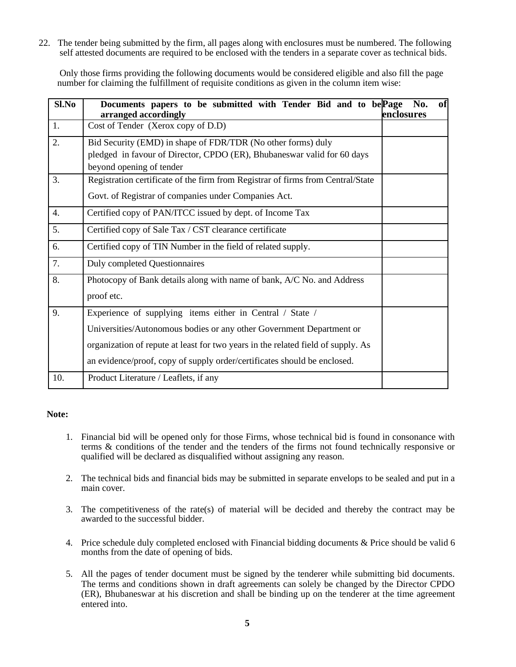22. The tender being submitted by the firm, all pages along with enclosures must be numbered. The following self attested documents are required to be enclosed with the tenders in a separate cover as technical bids.

 Only those firms providing the following documents would be considered eligible and also fill the page number for claiming the fulfillment of requisite conditions as given in the column item wise:

| Sl.No | Documents papers to be submitted with Tender Bid and to be Page<br>arranged accordingly                                                                             | No.<br>enclosures | of |
|-------|---------------------------------------------------------------------------------------------------------------------------------------------------------------------|-------------------|----|
| 1.    | Cost of Tender (Xerox copy of D.D)                                                                                                                                  |                   |    |
| 2.    | Bid Security (EMD) in shape of FDR/TDR (No other forms) duly<br>pledged in favour of Director, CPDO (ER), Bhubaneswar valid for 60 days<br>beyond opening of tender |                   |    |
| 3.    | Registration certificate of the firm from Registrar of firms from Central/State<br>Govt. of Registrar of companies under Companies Act.                             |                   |    |
| 4.    | Certified copy of PAN/ITCC issued by dept. of Income Tax                                                                                                            |                   |    |
| 5.    | Certified copy of Sale Tax / CST clearance certificate                                                                                                              |                   |    |
| 6.    | Certified copy of TIN Number in the field of related supply.                                                                                                        |                   |    |
| 7.    | <b>Duly completed Questionnaires</b>                                                                                                                                |                   |    |
| 8.    | Photocopy of Bank details along with name of bank, A/C No. and Address<br>proof etc.                                                                                |                   |    |
| 9.    | Experience of supplying items either in Central / State /                                                                                                           |                   |    |
|       | Universities/Autonomous bodies or any other Government Department or                                                                                                |                   |    |
|       | organization of repute at least for two years in the related field of supply. As                                                                                    |                   |    |
|       | an evidence/proof, copy of supply order/certificates should be enclosed.                                                                                            |                   |    |
| 10.   | Product Literature / Leaflets, if any                                                                                                                               |                   |    |

# **Note:**

- 1. Financial bid will be opened only for those Firms, whose technical bid is found in consonance with terms & conditions of the tender and the tenders of the firms not found technically responsive or qualified will be declared as disqualified without assigning any reason.
- 2. The technical bids and financial bids may be submitted in separate envelops to be sealed and put in a main cover.
- 3. The competitiveness of the rate(s) of material will be decided and thereby the contract may be awarded to the successful bidder.
- 4. Price schedule duly completed enclosed with Financial bidding documents & Price should be valid 6 months from the date of opening of bids.
- 5. All the pages of tender document must be signed by the tenderer while submitting bid documents. The terms and conditions shown in draft agreements can solely be changed by the Director CPDO (ER), Bhubaneswar at his discretion and shall be binding up on the tenderer at the time agreement entered into.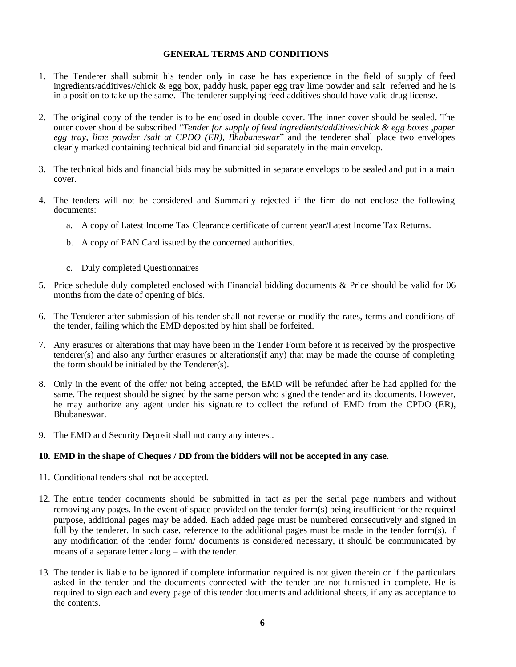# **GENERAL TERMS AND CONDITIONS**

- 1. The Tenderer shall submit his tender only in case he has experience in the field of supply of feed ingredients/additives//chick & egg box, paddy husk, paper egg tray lime powder and salt referred and he is in a position to take up the same. The tenderer supplying feed additives should have valid drug license.
- 2. The original copy of the tender is to be enclosed in double cover. The inner cover should be sealed. The outer cover should be subscribed *"Tender for supply of feed ingredients/additives/chick & egg boxes ,paper egg tray, lime powder /salt at CPDO (ER), Bhubaneswar*" and the tenderer shall place two envelopes clearly marked containing technical bid and financial bid separately in the main envelop.
- 3. The technical bids and financial bids may be submitted in separate envelops to be sealed and put in a main cover.
- 4. The tenders will not be considered and Summarily rejected if the firm do not enclose the following documents:
	- a. A copy of Latest Income Tax Clearance certificate of current year/Latest Income Tax Returns.
	- b. A copy of PAN Card issued by the concerned authorities.
	- c. Duly completed Questionnaires
- 5. Price schedule duly completed enclosed with Financial bidding documents & Price should be valid for 06 months from the date of opening of bids.
- 6. The Tenderer after submission of his tender shall not reverse or modify the rates, terms and conditions of the tender, failing which the EMD deposited by him shall be forfeited.
- 7. Any erasures or alterations that may have been in the Tender Form before it is received by the prospective tenderer(s) and also any further erasures or alterations(if any) that may be made the course of completing the form should be initialed by the Tenderer(s).
- 8. Only in the event of the offer not being accepted, the EMD will be refunded after he had applied for the same. The request should be signed by the same person who signed the tender and its documents. However, he may authorize any agent under his signature to collect the refund of EMD from the CPDO (ER), Bhubaneswar.
- 9. The EMD and Security Deposit shall not carry any interest.

# **10. EMD in the shape of Cheques / DD from the bidders will not be accepted in any case.**

- 11. Conditional tenders shall not be accepted.
- 12. The entire tender documents should be submitted in tact as per the serial page numbers and without removing any pages. In the event of space provided on the tender form(s) being insufficient for the required purpose, additional pages may be added. Each added page must be numbered consecutively and signed in full by the tenderer. In such case, reference to the additional pages must be made in the tender form(s). if any modification of the tender form/ documents is considered necessary, it should be communicated by means of a separate letter along – with the tender.
- 13. The tender is liable to be ignored if complete information required is not given therein or if the particulars asked in the tender and the documents connected with the tender are not furnished in complete. He is required to sign each and every page of this tender documents and additional sheets, if any as acceptance to the contents.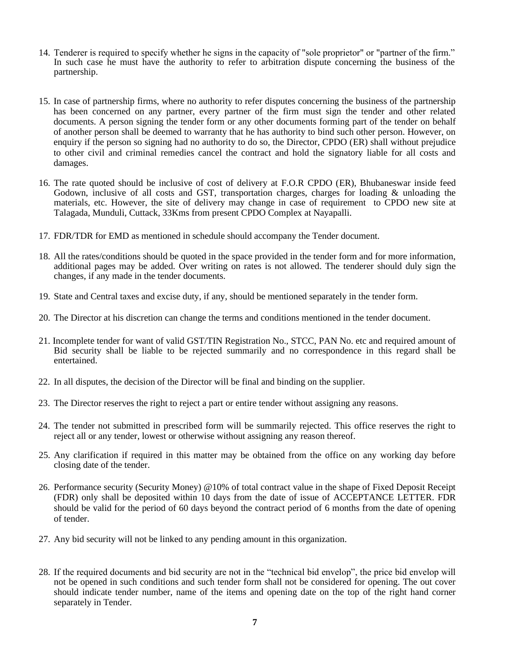- 14. Tenderer is required to specify whether he signs in the capacity of "sole proprietor" or "partner of the firm." In such case he must have the authority to refer to arbitration dispute concerning the business of the partnership.
- 15. In case of partnership firms, where no authority to refer disputes concerning the business of the partnership has been concerned on any partner, every partner of the firm must sign the tender and other related documents. A person signing the tender form or any other documents forming part of the tender on behalf of another person shall be deemed to warranty that he has authority to bind such other person. However, on enquiry if the person so signing had no authority to do so, the Director, CPDO (ER) shall without prejudice to other civil and criminal remedies cancel the contract and hold the signatory liable for all costs and damages.
- 16. The rate quoted should be inclusive of cost of delivery at F.O.R CPDO (ER), Bhubaneswar inside feed Godown, inclusive of all costs and GST, transportation charges, charges for loading & unloading the materials, etc. However, the site of delivery may change in case of requirement to CPDO new site at Talagada, Munduli, Cuttack, 33Kms from present CPDO Complex at Nayapalli.
- 17. FDR/TDR for EMD as mentioned in schedule should accompany the Tender document.
- 18. All the rates/conditions should be quoted in the space provided in the tender form and for more information, additional pages may be added. Over writing on rates is not allowed. The tenderer should duly sign the changes, if any made in the tender documents.
- 19. State and Central taxes and excise duty, if any, should be mentioned separately in the tender form.
- 20. The Director at his discretion can change the terms and conditions mentioned in the tender document.
- 21. Incomplete tender for want of valid GST/TIN Registration No., STCC, PAN No. etc and required amount of Bid security shall be liable to be rejected summarily and no correspondence in this regard shall be entertained.
- 22. In all disputes, the decision of the Director will be final and binding on the supplier.
- 23. The Director reserves the right to reject a part or entire tender without assigning any reasons.
- 24. The tender not submitted in prescribed form will be summarily rejected. This office reserves the right to reject all or any tender, lowest or otherwise without assigning any reason thereof.
- 25. Any clarification if required in this matter may be obtained from the office on any working day before closing date of the tender.
- 26. Performance security (Security Money) @10% of total contract value in the shape of Fixed Deposit Receipt (FDR) only shall be deposited within 10 days from the date of issue of ACCEPTANCE LETTER. FDR should be valid for the period of 60 days beyond the contract period of 6 months from the date of opening of tender.
- 27. Any bid security will not be linked to any pending amount in this organization.
- 28. If the required documents and bid security are not in the "technical bid envelop", the price bid envelop will not be opened in such conditions and such tender form shall not be considered for opening. The out cover should indicate tender number, name of the items and opening date on the top of the right hand corner separately in Tender.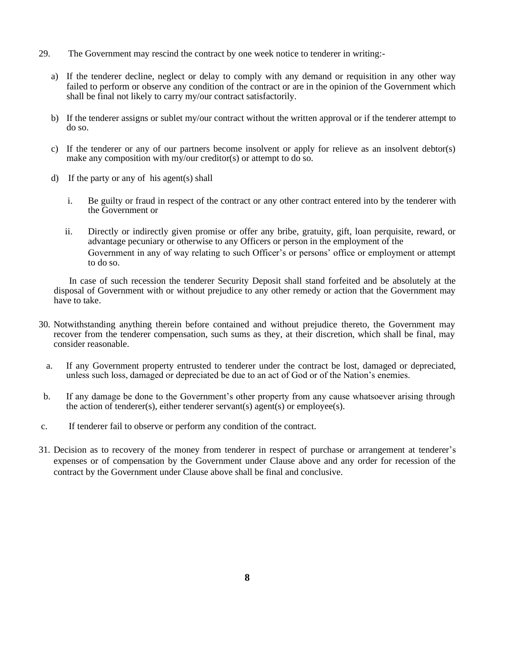- 29. The Government may rescind the contract by one week notice to tenderer in writing:
	- a) If the tenderer decline, neglect or delay to comply with any demand or requisition in any other way failed to perform or observe any condition of the contract or are in the opinion of the Government which shall be final not likely to carry my/our contract satisfactorily.
	- b) If the tenderer assigns or sublet my/our contract without the written approval or if the tenderer attempt to do so.
	- c) If the tenderer or any of our partners become insolvent or apply for relieve as an insolvent debtor(s) make any composition with  $m\bar{y}/\text{our creditor(s)}$  or attempt to do so.
	- d) If the party or any of his agent(s) shall
		- i. Be guilty or fraud in respect of the contract or any other contract entered into by the tenderer with the Government or
		- ii. Directly or indirectly given promise or offer any bribe, gratuity, gift, loan perquisite, reward, or advantage pecuniary or otherwise to any Officers or person in the employment of the Government in any of way relating to such Officer's or persons' office or employment or attempt to do so.

In case of such recession the tenderer Security Deposit shall stand forfeited and be absolutely at the disposal of Government with or without prejudice to any other remedy or action that the Government may have to take.

- 30. Notwithstanding anything therein before contained and without prejudice thereto, the Government may recover from the tenderer compensation, such sums as they, at their discretion, which shall be final, may consider reasonable.
	- a. If any Government property entrusted to tenderer under the contract be lost, damaged or depreciated, unless such loss, damaged or depreciated be due to an act of God or of the Nation's enemies.
- b. If any damage be done to the Government's other property from any cause whatsoever arising through the action of tenderer(s), either tenderer servant(s) agent(s) or employee(s).
- c. If tenderer fail to observe or perform any condition of the contract.
- 31. Decision as to recovery of the money from tenderer in respect of purchase or arrangement at tenderer's expenses or of compensation by the Government under Clause above and any order for recession of the contract by the Government under Clause above shall be final and conclusive.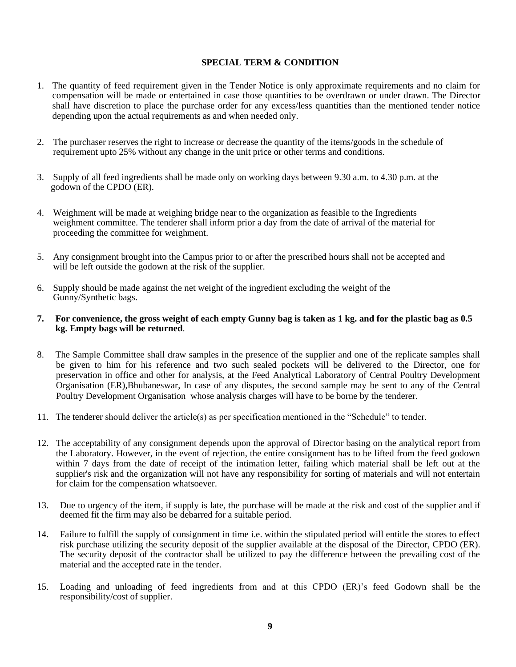# **SPECIAL TERM & CONDITION**

- 1. The quantity of feed requirement given in the Tender Notice is only approximate requirements and no claim for compensation will be made or entertained in case those quantities to be overdrawn or under drawn. The Director shall have discretion to place the purchase order for any excess/less quantities than the mentioned tender notice depending upon the actual requirements as and when needed only.
- 2. The purchaser reserves the right to increase or decrease the quantity of the items/goods in the schedule of requirement upto 25% without any change in the unit price or other terms and conditions.
- 3. Supply of all feed ingredients shall be made only on working days between 9.30 a.m. to 4.30 p.m. at the godown of the CPDO (ER).
- 4. Weighment will be made at weighing bridge near to the organization as feasible to the Ingredients weighment committee. The tenderer shall inform prior a day from the date of arrival of the material for proceeding the committee for weighment.
- 5. Any consignment brought into the Campus prior to or after the prescribed hours shall not be accepted and will be left outside the godown at the risk of the supplier.
- 6. Supply should be made against the net weight of the ingredient excluding the weight of the Gunny/Synthetic bags.

### **7. For convenience, the gross weight of each empty Gunny bag is taken as 1 kg. and for the plastic bag as 0.5 kg. Empty bags will be returned**.

- 8. The Sample Committee shall draw samples in the presence of the supplier and one of the replicate samples shall be given to him for his reference and two such sealed pockets will be delivered to the Director, one for preservation in office and other for analysis, at the Feed Analytical Laboratory of Central Poultry Development Organisation (ER),Bhubaneswar, In case of any disputes, the second sample may be sent to any of the Central Poultry Development Organisation whose analysis charges will have to be borne by the tenderer.
- 11. The tenderer should deliver the article(s) as per specification mentioned in the "Schedule" to tender.
- 12. The acceptability of any consignment depends upon the approval of Director basing on the analytical report from the Laboratory. However, in the event of rejection, the entire consignment has to be lifted from the feed godown within 7 days from the date of receipt of the intimation letter, failing which material shall be left out at the supplier's risk and the organization will not have any responsibility for sorting of materials and will not entertain for claim for the compensation whatsoever.
- 13. Due to urgency of the item, if supply is late, the purchase will be made at the risk and cost of the supplier and if deemed fit the firm may also be debarred for a suitable period.
- 14. Failure to fulfill the supply of consignment in time i.e. within the stipulated period will entitle the stores to effect risk purchase utilizing the security deposit of the supplier available at the disposal of the Director, CPDO (ER). The security deposit of the contractor shall be utilized to pay the difference between the prevailing cost of the material and the accepted rate in the tender.
- 15. Loading and unloading of feed ingredients from and at this CPDO (ER)'s feed Godown shall be the responsibility/cost of supplier.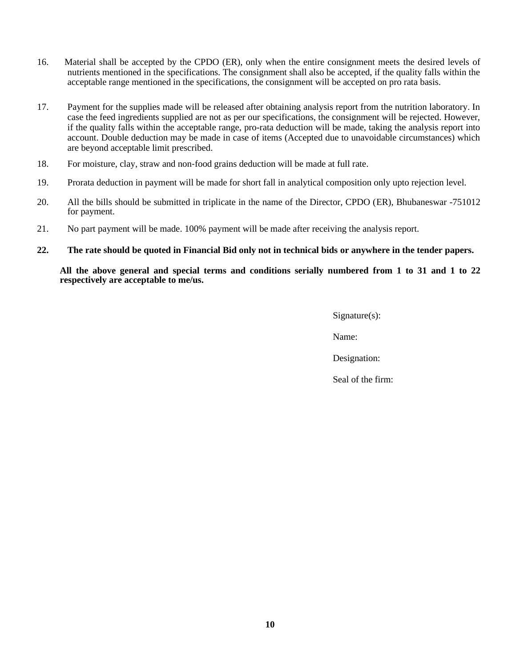- 16. Material shall be accepted by the CPDO (ER), only when the entire consignment meets the desired levels of nutrients mentioned in the specifications. The consignment shall also be accepted, if the quality falls within the acceptable range mentioned in the specifications, the consignment will be accepted on pro rata basis.
- 17. Payment for the supplies made will be released after obtaining analysis report from the nutrition laboratory. In case the feed ingredients supplied are not as per our specifications, the consignment will be rejected. However, if the quality falls within the acceptable range, pro-rata deduction will be made, taking the analysis report into account. Double deduction may be made in case of items (Accepted due to unavoidable circumstances) which are beyond acceptable limit prescribed.
- 18. For moisture, clay, straw and non‐food grains deduction will be made at full rate.
- 19. Prorata deduction in payment will be made for short fall in analytical composition only upto rejection level.
- 20. All the bills should be submitted in triplicate in the name of the Director, CPDO (ER), Bhubaneswar -751012 for payment.
- 21. No part payment will be made. 100% payment will be made after receiving the analysis report.
- **22. The rate should be quoted in Financial Bid only not in technical bids or anywhere in the tender papers.**

**All the above general and special terms and conditions serially numbered from 1 to 31 and 1 to 22 respectively are acceptable to me/us.**

Signature(s):

Name:

Designation: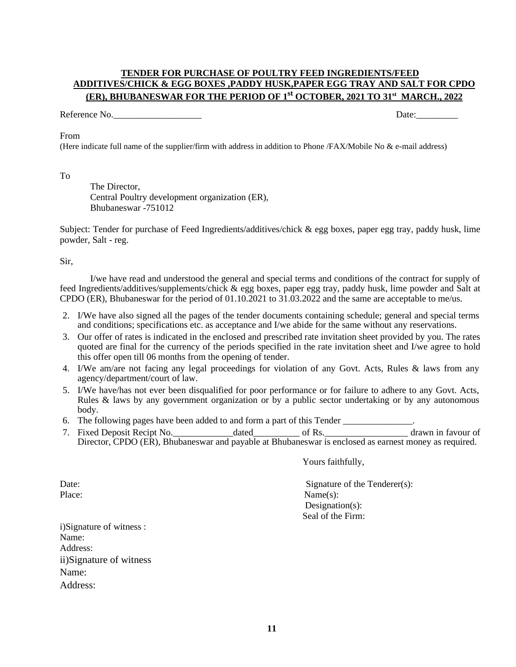# **TENDER FOR PURCHASE OF POULTRY FEED INGREDIENTS/FEED ADDITIVES/CHICK & EGG BOXES ,PADDY HUSK,PAPER EGG TRAY AND SALT FOR CPDO (ER), BHUBANESWAR FOR THE PERIOD OF 1st OCTOBER, 2021 TO 31 st MARCH., 2022**

Reference No. **Date:**  $\Box$ 

### From

(Here indicate full name of the supplier/firm with address in addition to Phone /FAX/Mobile No & e-mail address)

To

The Director, Central Poultry development organization (ER), Bhubaneswar -751012

Subject: Tender for purchase of Feed Ingredients/additives/chick & egg boxes, paper egg tray, paddy husk, lime powder, Salt - reg.

Sir,

I/we have read and understood the general and special terms and conditions of the contract for supply of feed Ingredients/additives/supplements/chick & egg boxes, paper egg tray, paddy husk, lime powder and Salt at CPDO (ER), Bhubaneswar for the period of 01.10.2021 to 31.03.2022 and the same are acceptable to me/us.

- 2. I/We have also signed all the pages of the tender documents containing schedule; general and special terms and conditions; specifications etc. as acceptance and I/we abide for the same without any reservations.
- 3. Our offer of rates is indicated in the enclosed and prescribed rate invitation sheet provided by you. The rates quoted are final for the currency of the periods specified in the rate invitation sheet and I/we agree to hold this offer open till 06 months from the opening of tender.
- 4. I/We am/are not facing any legal proceedings for violation of any Govt. Acts, Rules & laws from any agency/department/court of law.
- 5. I/We have/has not ever been disqualified for poor performance or for failure to adhere to any Govt. Acts, Rules & laws by any government organization or by a public sector undertaking or by any autonomous body.
- 6. The following pages have been added to and form a part of this Tender \_\_\_\_\_\_\_\_\_\_\_\_\_\_\_.
- 7. Fixed Deposit Recipt No.\_\_\_\_\_\_\_\_\_\_\_\_\_dated\_\_\_\_\_\_\_\_\_\_ of Rs.\_\_\_\_\_\_\_\_\_\_\_\_\_\_\_\_\_\_ drawn in favour of Director, CPDO (ER), Bhubaneswar and payable at Bhubaneswar is enclosed as earnest money as required.

Yours faithfully,

Date: Signature of the Tenderer(s): Place: Name(s): Designation(s): Seal of the Firm:

i)Signature of witness : Name: Address: ii)Signature of witness Name: Address: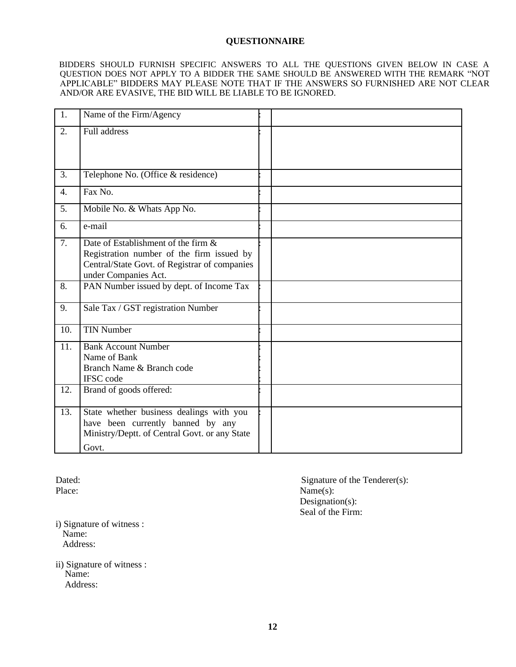# **QUESTIONNAIRE**

BIDDERS SHOULD FURNISH SPECIFIC ANSWERS TO ALL THE QUESTIONS GIVEN BELOW IN CASE A QUESTION DOES NOT APPLY TO A BIDDER THE SAME SHOULD BE ANSWERED WITH THE REMARK "NOT APPLICABLE" BIDDERS MAY PLEASE NOTE THAT IF THE ANSWERS SO FURNISHED ARE NOT CLEAR AND/OR ARE EVASIVE, THE BID WILL BE LIABLE TO BE IGNORED.

| 1.               | Name of the Firm/Agency                                                                                                                                   |  |
|------------------|-----------------------------------------------------------------------------------------------------------------------------------------------------------|--|
| 2.               | Full address                                                                                                                                              |  |
|                  |                                                                                                                                                           |  |
| 3.               | Telephone No. (Office & residence)                                                                                                                        |  |
| $\overline{4}$ . | Fax No.                                                                                                                                                   |  |
| 5.               | Mobile No. & Whats App No.                                                                                                                                |  |
| 6.               | e-mail                                                                                                                                                    |  |
| $\overline{7}$ . | Date of Establishment of the firm &<br>Registration number of the firm issued by<br>Central/State Govt. of Registrar of companies<br>under Companies Act. |  |
| 8.               | PAN Number issued by dept. of Income Tax                                                                                                                  |  |
| 9.               | Sale Tax / GST registration Number                                                                                                                        |  |
| 10.              | <b>TIN Number</b>                                                                                                                                         |  |
| 11.              | <b>Bank Account Number</b><br>Name of Bank<br>Branch Name & Branch code<br><b>IFSC</b> code                                                               |  |
| 12.              | Brand of goods offered:                                                                                                                                   |  |
| 13.              | State whether business dealings with you<br>have been currently banned by any<br>Ministry/Deptt. of Central Govt. or any State<br>Govt.                   |  |

Dated: Signature of the Tenderer(s): Place: Name(s): Designation(s): Seal of the Firm:

i) Signature of witness : Name: Address:

ii) Signature of witness : Name: Address: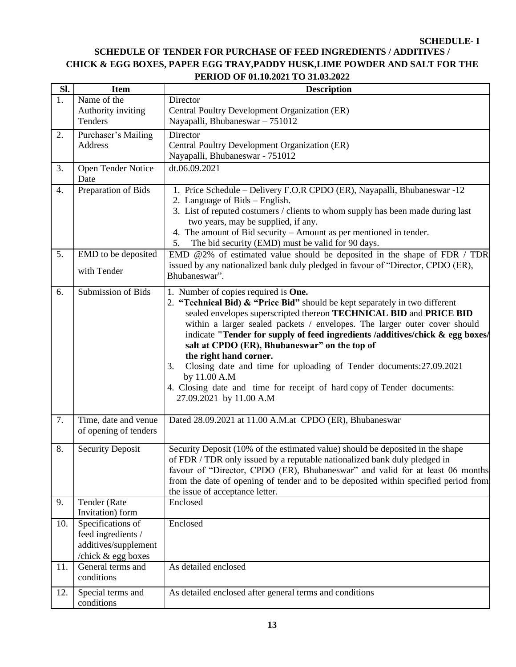#### **SCHEDULE- I**

# **SCHEDULE OF TENDER FOR PURCHASE OF FEED INGREDIENTS / ADDITIVES / CHICK & EGG BOXES, PAPER EGG TRAY,PADDY HUSK,LIME POWDER AND SALT FOR THE PERIOD OF 01.10.2021 TO 31.03.2022**

| SI. | <b>Item</b>                                                                           | <b>Description</b>                                                                                                                                                                                                                                                                                                                                                                                                                                                                                                                                                                                                                          |
|-----|---------------------------------------------------------------------------------------|---------------------------------------------------------------------------------------------------------------------------------------------------------------------------------------------------------------------------------------------------------------------------------------------------------------------------------------------------------------------------------------------------------------------------------------------------------------------------------------------------------------------------------------------------------------------------------------------------------------------------------------------|
| 1.  | Name of the<br>Authority inviting<br>Tenders                                          | Director<br>Central Poultry Development Organization (ER)<br>Nayapalli, Bhubaneswar - 751012                                                                                                                                                                                                                                                                                                                                                                                                                                                                                                                                                |
| 2.  | Purchaser's Mailing<br>Address                                                        | Director<br>Central Poultry Development Organization (ER)<br>Nayapalli, Bhubaneswar - 751012                                                                                                                                                                                                                                                                                                                                                                                                                                                                                                                                                |
| 3.  | Open Tender Notice<br>Date                                                            | dt.06.09.2021                                                                                                                                                                                                                                                                                                                                                                                                                                                                                                                                                                                                                               |
| 4.  | Preparation of Bids                                                                   | 1. Price Schedule – Delivery F.O.R CPDO (ER), Nayapalli, Bhubaneswar -12<br>2. Language of Bids – English.<br>3. List of reputed costumers / clients to whom supply has been made during last<br>two years, may be supplied, if any.<br>4. The amount of Bid security – Amount as per mentioned in tender.<br>The bid security (EMD) must be valid for 90 days.<br>5.                                                                                                                                                                                                                                                                       |
| 5.  | EMD to be deposited<br>with Tender                                                    | EMD @2% of estimated value should be deposited in the shape of FDR / TDR<br>issued by any nationalized bank duly pledged in favour of "Director, CPDO (ER),<br>Bhubaneswar".                                                                                                                                                                                                                                                                                                                                                                                                                                                                |
| 6.  | Submission of Bids                                                                    | 1. Number of copies required is <b>One.</b><br>2. "Technical Bid) & "Price Bid" should be kept separately in two different<br>sealed envelopes superscripted thereon TECHNICAL BID and PRICE BID<br>within a larger sealed packets / envelopes. The larger outer cover should<br>indicate "Tender for supply of feed ingredients /additives/chick & egg boxes/<br>salt at CPDO (ER), Bhubaneswar" on the top of<br>the right hand corner.<br>Closing date and time for uploading of Tender documents: 27.09.2021<br>3.<br>by 11.00 A.M<br>4. Closing date and time for receipt of hard copy of Tender documents:<br>27.09.2021 by 11.00 A.M |
| 7.  | Time, date and venue<br>of opening of tenders                                         | Dated 28.09.2021 at 11.00 A.M.at CPDO (ER), Bhubaneswar                                                                                                                                                                                                                                                                                                                                                                                                                                                                                                                                                                                     |
| 8.  | <b>Security Deposit</b>                                                               | Security Deposit (10% of the estimated value) should be deposited in the shape<br>of FDR / TDR only issued by a reputable nationalized bank duly pledged in<br>favour of "Director, CPDO (ER), Bhubaneswar" and valid for at least 06 months<br>from the date of opening of tender and to be deposited within specified period from<br>the issue of acceptance letter.                                                                                                                                                                                                                                                                      |
| 9.  | Tender (Rate<br>Invitation) form                                                      | Enclosed                                                                                                                                                                                                                                                                                                                                                                                                                                                                                                                                                                                                                                    |
| 10. | Specifications of<br>feed ingredients /<br>additives/supplement<br>/chick & egg boxes | Enclosed                                                                                                                                                                                                                                                                                                                                                                                                                                                                                                                                                                                                                                    |
| 11. | General terms and<br>conditions                                                       | As detailed enclosed                                                                                                                                                                                                                                                                                                                                                                                                                                                                                                                                                                                                                        |
| 12. | Special terms and<br>conditions                                                       | As detailed enclosed after general terms and conditions                                                                                                                                                                                                                                                                                                                                                                                                                                                                                                                                                                                     |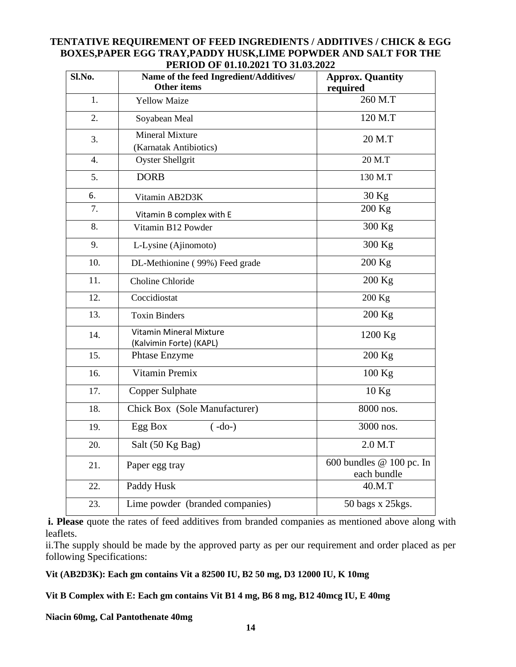# **TENTATIVE REQUIREMENT OF FEED INGREDIENTS / ADDITIVES / CHICK & EGG BOXES,PAPER EGG TRAY,PADDY HUSK,LIME POPWDER AND SALT FOR THE PERIOD OF 01.10.2021 TO 31.03.2022**

| Sl.No.           | Name of the feed Ingredient/Additives/<br><b>Other items</b> | <b>Approx. Quantity</b><br>required       |
|------------------|--------------------------------------------------------------|-------------------------------------------|
| 1.               | <b>Yellow Maize</b>                                          | 260 M.T                                   |
| 2.               | Soyabean Meal                                                | 120 M.T                                   |
| 3.               | <b>Mineral Mixture</b><br>(Karnatak Antibiotics)             | 20 M.T                                    |
| $\overline{4}$ . | <b>Oyster Shellgrit</b>                                      | 20 M.T                                    |
| 5.               | <b>DORB</b>                                                  | 130 M.T                                   |
| 6.               | Vitamin AB2D3K                                               | $30$ Kg                                   |
| 7.               | Vitamin B complex with E                                     | $200$ Kg                                  |
| 8.               | Vitamin B12 Powder                                           | 300 Kg                                    |
| 9.               | L-Lysine (Ajinomoto)                                         | 300 Kg                                    |
| 10.              | DL-Methionine (99%) Feed grade                               | 200 Kg                                    |
| 11.              | Choline Chloride                                             | $200$ Kg                                  |
| 12.              | Coccidiostat                                                 | 200 Kg                                    |
| 13.              | <b>Toxin Binders</b>                                         | $200$ Kg                                  |
| 14.              | <b>Vitamin Mineral Mixture</b><br>(Kalvimin Forte) (KAPL)    | 1200 Kg                                   |
| 15.              | <b>Phtase Enzyme</b>                                         | $200$ Kg                                  |
| 16.              | Vitamin Premix                                               | $100$ Kg                                  |
| 17.              | <b>Copper Sulphate</b>                                       | $10$ Kg                                   |
| 18.              | Chick Box (Sole Manufacturer)                                | 8000 nos.                                 |
| 19.              | Egg Box<br>$(-do-)$                                          | 3000 nos.                                 |
| 20.              | Salt (50 Kg Bag)                                             | $2.0$ M.T                                 |
| 21.              | Paper egg tray                                               | 600 bundles $@$ 100 pc. In<br>each bundle |
| 22.              | Paddy Husk                                                   | 40.M.T                                    |
| 23.              | Lime powder (branded companies)                              | 50 bags x 25 kgs.                         |

**i. Please** quote the rates of feed additives from branded companies as mentioned above along with leaflets.

ii.The supply should be made by the approved party as per our requirement and order placed as per following Specifications:

# **Vit (AB2D3K): Each gm contains Vit a 82500 IU, B2 50 mg, D3 12000 IU, K 10mg**

**Vit B Complex with E: Each gm contains Vit B1 4 mg, B6 8 mg, B12 40mcg IU, E 40mg**

**Niacin 60mg, Cal Pantothenate 40mg**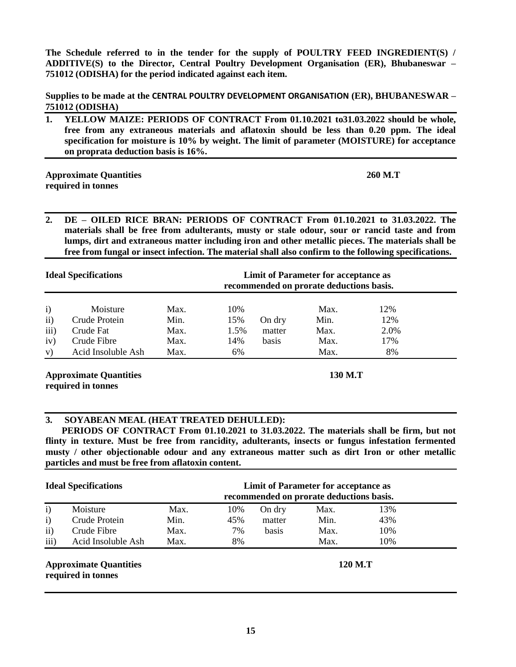**The Schedule referred to in the tender for the supply of POULTRY FEED INGREDIENT(S) / ADDITIVE(S) to the Director, Central Poultry Development Organisation (ER), Bhubaneswar – 751012 (ODISHA) for the period indicated against each item.**

**Supplies to be made at the CENTRAL POULTRY DEVELOPMENT ORGANISATION (ER), BHUBANESWAR – 751012 (ODISHA)**

**1. YELLOW MAIZE: PERIODS OF CONTRACT From 01.10.2021 to31.03.2022 should be whole, free from any extraneous materials and aflatoxin should be less than 0.20 ppm. The ideal specification for moisture is 10% by weight. The limit of parameter (MOISTURE) for acceptance on proprata deduction basis is 16%.**

**Approximate Quantities 260 M.T required in tonnes** 

**2. DE – OILED RICE BRAN: PERIODS OF CONTRACT From 01.10.2021 to 31.03.2022. The materials shall be free from adulterants, musty or stale odour, sour or rancid taste and from lumps, dirt and extraneous matter including iron and other metallic pieces. The materials shall be free from fungal or insect infection. The material shall also confirm to the following specifications.**

| <b>Ideal Specifications</b>                    |                                                                             |                                      |                                 | <b>Limit of Parameter for acceptance as</b><br>recommended on prorate deductions basis. |                                      |                                 |  |
|------------------------------------------------|-----------------------------------------------------------------------------|--------------------------------------|---------------------------------|-----------------------------------------------------------------------------------------|--------------------------------------|---------------------------------|--|
| $\mathbf{i}$<br>$\rm ii)$<br>iii)<br>iv)<br>V) | Moisture<br>Crude Protein<br>Crude Fat<br>Crude Fibre<br>Acid Insoluble Ash | Max.<br>Min.<br>Max.<br>Max.<br>Max. | 10%<br>15%<br>1.5%<br>14%<br>6% | On dry<br>matter<br>basis                                                               | Max.<br>Min.<br>Max.<br>Max.<br>Max. | 12%<br>12%<br>2.0%<br>17%<br>8% |  |

**Approximate Quantities 130 M.T required in tonnes** 

# **3. SOYABEAN MEAL (HEAT TREATED DEHULLED):**

 **PERIODS OF CONTRACT From 01.10.2021 to 31.03.2022. The materials shall be firm, but not flinty in texture. Must be free from rancidity, adulterants, insects or fungus infestation fermented musty / other objectionable odour and any extraneous matter such as dirt Iron or other metallic particles and must be free from aflatoxin content.**

| <b>Ideal Specifications</b> |                                                     |      | Limit of Parameter for acceptance as<br>recommended on prorate deductions basis. |        |         |     |  |
|-----------------------------|-----------------------------------------------------|------|----------------------------------------------------------------------------------|--------|---------|-----|--|
| $\mathbf{i}$                | Moisture                                            | Max. | 10%                                                                              | On dry | Max.    | 13% |  |
| $\mathbf{i}$                | Crude Protein                                       | Min. | 45%                                                                              | matter | Min.    | 43% |  |
| $\mathbf{ii}$               | Crude Fibre                                         | Max. | 7%                                                                               | basis  | Max.    | 10% |  |
| iii)                        | Acid Insoluble Ash                                  | Max. | 8%                                                                               |        | Max.    | 10% |  |
|                             | <b>Approximate Quantities</b><br>required in tonnes |      |                                                                                  |        | 120 M.T |     |  |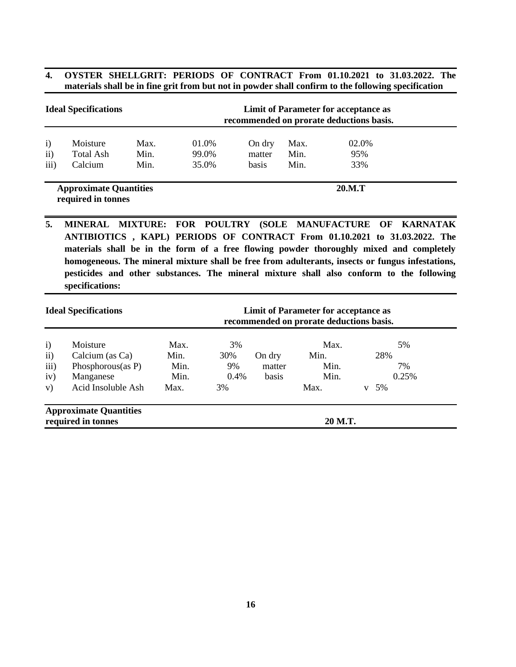# **4. OYSTER SHELLGRIT: PERIODS OF CONTRACT From 01.10.2021 to 31.03.2022. The materials shall be in fine grit from but not in powder shall confirm to the following specification**

| <b>Ideal Specifications</b>   |                                  |                      |                         | Limit of Parameter for acceptance as<br>recommended on prorate deductions basis. |                      |                     |  |  |
|-------------------------------|----------------------------------|----------------------|-------------------------|----------------------------------------------------------------------------------|----------------------|---------------------|--|--|
| $\mathbf{i}$<br>ii)<br>iii)   | Moisture<br>Total Ash<br>Calcium | Max.<br>Min.<br>Min. | 01.0%<br>99.0%<br>35.0% | On dry<br>matter<br>basis                                                        | Max.<br>Min.<br>Min. | 02.0%<br>95%<br>33% |  |  |
| <b>Approximate Quantities</b> |                                  |                      |                         |                                                                                  | 20.M.T               |                     |  |  |

 **required in tonnes** 

**5. MINERAL MIXTURE: FOR POULTRY (SOLE MANUFACTURE OF KARNATAK ANTIBIOTICS , KAPL) PERIODS OF CONTRACT From 01.10.2021 to 31.03.2022. The materials shall be in the form of a free flowing powder thoroughly mixed and completely homogeneous. The mineral mixture shall be free from adulterants, insects or fungus infestations, pesticides and other substances. The mineral mixture shall also conform to the following specifications:**

|                                                     | <b>Ideal Specifications</b>                                                            |                                      |                               | <b>Limit of Parameter for acceptance as</b><br>recommended on prorate deductions basis. |                                      |                                     |  |
|-----------------------------------------------------|----------------------------------------------------------------------------------------|--------------------------------------|-------------------------------|-----------------------------------------------------------------------------------------|--------------------------------------|-------------------------------------|--|
| $\mathbf{i}$<br>$\mathbf{ii}$<br>iii)<br>iv)<br>V)  | Moisture<br>Calcium (as Ca)<br>Phosphorous(as $P$ )<br>Manganese<br>Acid Insoluble Ash | Max.<br>Min.<br>Min.<br>Min.<br>Max. | 3%<br>30%<br>9%<br>0.4%<br>3% | On dry<br>matter<br>basis                                                               | Max.<br>Min.<br>Min.<br>Min.<br>Max. | 5%<br>28%<br>7%<br>0.25%<br>5%<br>V |  |
| <b>Approximate Quantities</b><br>required in tonnes |                                                                                        |                                      |                               |                                                                                         | 20 M.T.                              |                                     |  |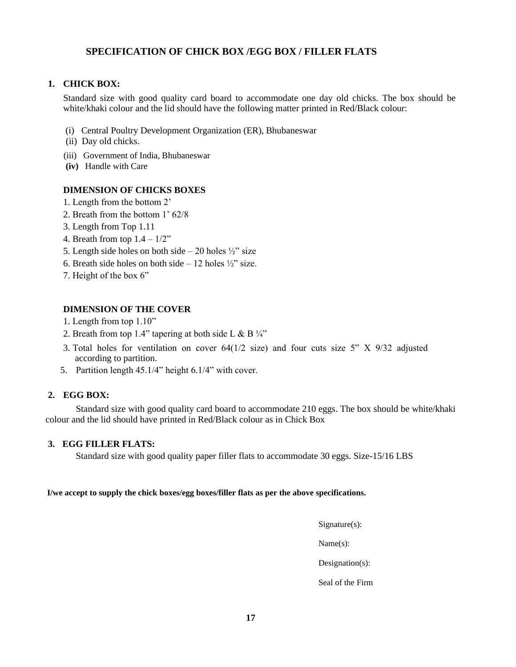# **SPECIFICATION OF CHICK BOX /EGG BOX / FILLER FLATS**

# **1. CHICK BOX:**

Standard size with good quality card board to accommodate one day old chicks. The box should be white/khaki colour and the lid should have the following matter printed in Red/Black colour:

- (i) Central Poultry Development Organization (ER), Bhubaneswar
- (ii) Day old chicks.
- (iii) Government of India, Bhubaneswar
- **(iv)** Handle with Care

# **DIMENSION OF CHICKS BOXES**

- 1. Length from the bottom 2'
- 2. Breath from the bottom 1' 62/8
- 3. Length from Top 1.11
- 4. Breath from top  $1.4 1/2$ "
- 5. Length side holes on both side 20 holes  $\frac{1}{2}$ " size
- 6. Breath side holes on both side 12 holes  $\frac{1}{2}$ " size.
- 7. Height of the box 6"

# **DIMENSION OF THE COVER**

- 1. Length from top 1.10"
- 2. Breath from top 1.4" tapering at both side L & B  $\frac{1}{4}$ "
- 3. Total holes for ventilation on cover  $64(1/2 \text{ size})$  and four cuts size 5" X 9/32 adjusted according to partition.
- 5. Partition length 45.1/4" height 6.1/4" with cover.

### **2. EGG BOX:**

Standard size with good quality card board to accommodate 210 eggs. The box should be white/khaki colour and the lid should have printed in Red/Black colour as in Chick Box

# **3. EGG FILLER FLATS:**

Standard size with good quality paper filler flats to accommodate 30 eggs. Size-15/16 LBS

**I/we accept to supply the chick boxes/egg boxes/filler flats as per the above specifications.**

Signature(s):

Name(s):

Designation(s):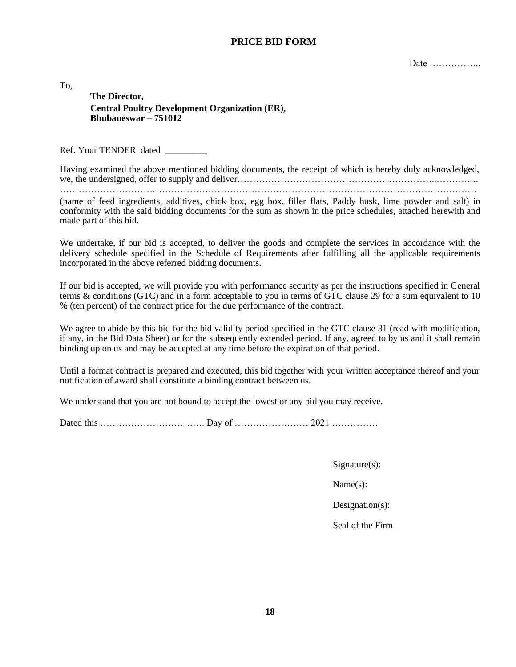# **PRICE BID FORM**

Date ……………..

To,

**The Director, Central Poultry Development Organization (ER), Bhubaneswar – 751012**

Ref. Your TENDER dated \_\_\_\_\_\_\_\_

Having examined the above mentioned bidding documents, the receipt of which is hereby duly acknowledged, we, the undersigned, offer to supply and deliver……………………………………………………………………………………

………………………………………………………………………………………………………………………

(name of feed ingredients, additives, chick box, egg box, filler flats, Paddy husk, lime powder and salt) in conformity with the said bidding documents for the sum as shown in the price schedules, attached herewith and made part of this bid.

We undertake, if our bid is accepted, to deliver the goods and complete the services in accordance with the delivery schedule specified in the Schedule of Requirements after fulfilling all the applicable requirements incorporated in the above referred bidding documents.

If our bid is accepted, we will provide you with performance security as per the instructions specified in General terms & conditions (GTC) and in a form acceptable to you in terms of GTC clause 29 for a sum equivalent to 10 % (ten percent) of the contract price for the due performance of the contract.

We agree to abide by this bid for the bid validity period specified in the GTC clause 31 (read with modification, if any, in the Bid Data Sheet) or for the subsequently extended period. If any, agreed to by us and it shall remain binding up on us and may be accepted at any time before the expiration of that period.

Until a format contract is prepared and executed, this bid together with your written acceptance thereof and your notification of award shall constitute a binding contract between us.

We understand that you are not bound to accept the lowest or any bid you may receive.

Dated this ……………………………. Day of …………………… 2021 ……………

Signature(s):

Name(s):

Designation(s):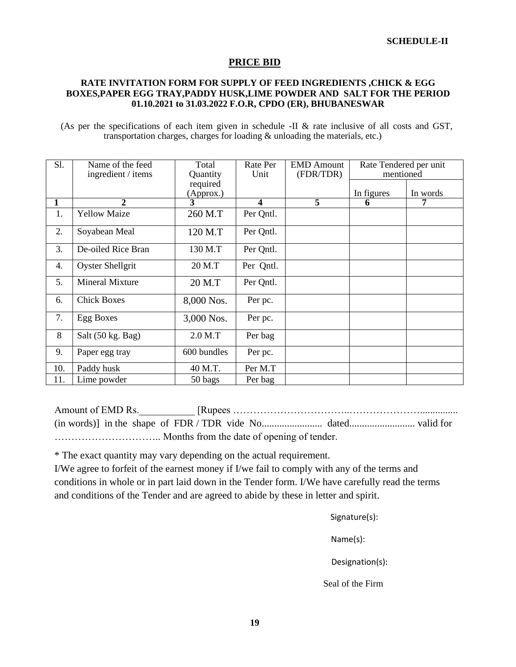# **PRICE BID**

# **RATE INVITATION FORM FOR SUPPLY OF FEED INGREDIENTS ,CHICK & EGG BOXES,PAPER EGG TRAY,PADDY HUSK,LIME POWDER AND SALT FOR THE PERIOD 01.10.2021 to 31.03.2022 F.O.R, CPDO (ER), BHUBANESWAR**

(As per the specifications of each item given in schedule -II & rate inclusive of all costs and GST, transportation charges, charges for loading & unloading the materials, etc.)

| Sl. | Name of the feed<br>ingredient / items | Total<br>Quantity     | Rate Per<br>Unit | <b>EMD</b> Amount<br>(FDR/TDR) | Rate Tendered per unit<br>mentioned |          |
|-----|----------------------------------------|-----------------------|------------------|--------------------------------|-------------------------------------|----------|
|     |                                        | required<br>(Approx.) |                  |                                | In figures                          | In words |
|     | $\mathbf{2}$                           | 3                     | 4                | $\overline{5}$                 | 6                                   | 7        |
| 1.  | <b>Yellow Maize</b>                    | 260 M.T               | Per Qntl.        |                                |                                     |          |
| 2.  | Soyabean Meal                          | 120 M.T               | Per Qntl.        |                                |                                     |          |
| 3.  | De-oiled Rice Bran                     | 130 M.T               | Per Qntl.        |                                |                                     |          |
| 4.  | <b>Oyster Shellgrit</b>                | 20 M.T                | Per Qntl.        |                                |                                     |          |
| 5.  | <b>Mineral Mixture</b>                 | 20 M.T                | Per Qntl.        |                                |                                     |          |
| 6.  | <b>Chick Boxes</b>                     | 8,000 Nos.            | Per pc.          |                                |                                     |          |
| 7.  | Egg Boxes                              | 3,000 Nos.            | Per pc.          |                                |                                     |          |
| 8   | Salt (50 kg. Bag)                      | $2.0$ M.T             | Per bag          |                                |                                     |          |
| 9.  | Paper egg tray                         | 600 bundles           | Per pc.          |                                |                                     |          |
| 10. | Paddy husk                             | 40 M.T.               | Per M.T          |                                |                                     |          |
| 11. | Lime powder                            | 50 bags               | Per bag          |                                |                                     |          |

Amount of EMD Rs.\_\_\_\_\_\_\_\_\_\_\_ [Rupees ……………………………..…………………............... (in words)] in the shape of FDR / TDR vide No........................ dated.......................... valid for ………………………….. Months from the date of opening of tender.

\* The exact quantity may vary depending on the actual requirement.

I/We agree to forfeit of the earnest money if I/we fail to comply with any of the terms and conditions in whole or in part laid down in the Tender form. I/We have carefully read the terms and conditions of the Tender and are agreed to abide by these in letter and spirit.

Signature(s):

Name(s):

Designation(s):